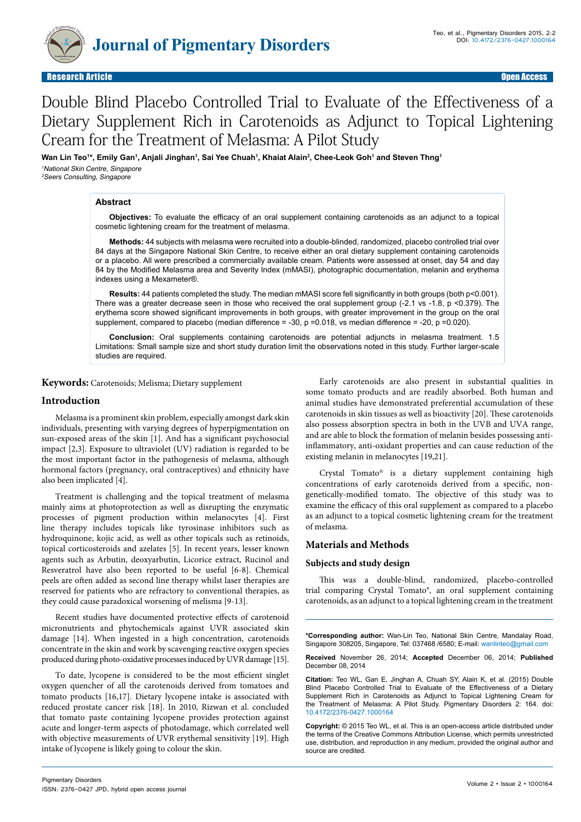

# Double Blind Placebo Controlled Trial to Evaluate of the Effectiveness of a Dietary Supplement Rich in Carotenoids as Adjunct to Topical Lightening Cream for the Treatment of Melasma: A Pilot Study

Wan Lin Teo'\*, Emily Gan', Anjali Jinghan', Sai Yee Chuah', Khaiat Alain<del>'</del>, Chee-Leok Goh' and Steven Thng' <sup>1</sup>National Skin Centre, Singapore <sup>2</sup>Seers Consulting, Singapore

#### **Abstract**

**Objectives:** To evaluate the efficacy of an oral supplement containing carotenoids as an adjunct to a topical cosmetic lightening cream for the treatment of melasma.

**Methods:** 44 subjects with melasma were recruited into a double-blinded, randomized, placebo controlled trial over 84 days at the Singapore National Skin Centre, to receive either an oral dietary supplement containing carotenoids or a placebo. All were prescribed a commercially available cream. Patients were assessed at onset, day 54 and day 84 by the Modified Melasma area and Severity Index (mMASI), photographic documentation, melanin and erythema indexes using a Mexameter®.

**Results:** 44 patients completed the study. The median mMASI score fell significantly in both groups (both p<0.001). There was a greater decrease seen in those who received the oral supplement group (-2.1 vs -1.8, p <0.379). The erythema score showed significant improvements in both groups, with greater improvement in the group on the oral supplement, compared to placebo (median difference = -30, p =0.018, vs median difference = -20, p =0.020).

**Conclusion:** Oral supplements containing carotenoids are potential adjuncts in melasma treatment. 1.5 Limitations: Small sample size and short study duration limit the observations noted in this study. Further larger-scale studies are required.

**Keywords:** Carotenoids; Melisma; Dietary supplement

## **Introduction**

Melasma is a prominent skin problem, especially amongst dark skin individuals, presenting with varying degrees of hyperpigmentation on sun-exposed areas of the skin [1]. And has a significant psychosocial impact [2,3]. Exposure to ultraviolet (UV) radiation is regarded to be the most important factor in the pathogenesis of melasma, although hormonal factors (pregnancy, oral contraceptives) and ethnicity have also been implicated [4].

Treatment is challenging and the topical treatment of melasma mainly aims at photoprotection as well as disrupting the enzymatic processes of pigment production within melanocytes [4]. First line therapy includes topicals like tyrosinase inhibitors such as hydroquinone, kojic acid, as well as other topicals such as retinoids, topical corticosteroids and azelates [5]. In recent years, lesser known agents such as Arbutin, deoxyarbutin, Licorice extract, Rucinol and Resveratrol have also been reported to be useful [6-8]. Chemical peels are often added as second line therapy whilst laser therapies are reserved for patients who are refractory to conventional therapies, as they could cause paradoxical worsening of melisma [9-13].

Recent studies have documented protective effects of carotenoid micronutrients and phytochemicals against UVR associated skin damage [14]. When ingested in a high concentration, carotenoids concentrate in the skin and work by scavenging reactive oxygen species produced during photo-oxidative processes induced by UVR damage [15].

To date, lycopene is considered to be the most efficient singlet oxygen quencher of all the carotenoids derived from tomatoes and tomato products [16,17]. Dietary lycopene intake is associated with reduced prostate cancer risk [18]. In 2010, Rizwan et al. concluded that tomato paste containing lycopene provides protection against acute and longer-term aspects of photodamage, which correlated well with objective measurements of UVR erythemal sensitivity [19]. High intake of lycopene is likely going to colour the skin.

Early carotenoids are also present in substantial qualities in some tomato products and are readily absorbed. Both human and animal studies have demonstrated preferential accumulation of these carotenoids in skin tissues as well as bioactivity [20]. These carotenoids also possess absorption spectra in both in the UVB and UVA range, and are able to block the formation of melanin besides possessing antiinflammatory, anti-oxidant properties and can cause reduction of the existing melanin in melanocytes [19,21].

Crystal Tomato® is a dietary supplement containing high concentrations of early carotenoids derived from a specific, nongenetically-modified tomato. The objective of this study was to examine the efficacy of this oral supplement as compared to a placebo as an adjunct to a topical cosmetic lightening cream for the treatment of melasma.

#### **Materials and Methods**

#### **Subjects and study design**

This was a double-blind, randomized, placebo-controlled trial comparing Crystal Tomato®, an oral supplement containing carotenoids, as an adjunct to a topical lightening cream in the treatment

**\*Corresponding author:** Wan-Lin Teo, National Skin Centre, Mandalay Road, Singapore 308205, Singapore, Tel: 037468 /6580; E-mail: wanlinteo@gmail.com

**Received** November 26, 2014; **Accepted** December 06, 2014; **Published** December 08, 2014

**Citation:** Teo WL, Gan E, Jinghan A, Chuah SY, Alain K, et al. (2015) Double Blind Placebo Controlled Trial to Evaluate of the Effectiveness of a Dietary Supplement Rich in Carotenoids as Adjunct to Topical Lightening Cream for the Treatment of Melasma: A Pilot Study. Pigmentary Disorders 2: 164. doi: 10.4172/2376-0427.1000164

**Copyright:** © 2015 Teo WL, et al. This is an open-access article distributed under the terms of the Creative Commons Attribution License, which permits unrestricted use, distribution, and reproduction in any medium, provided the original author and source are credited.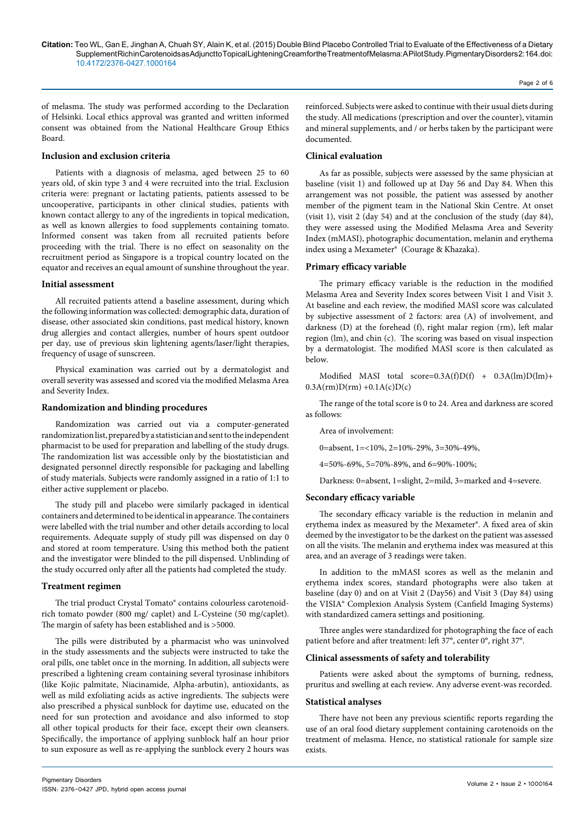Page 2 of 6

of melasma. The study was performed according to the Declaration of Helsinki. Local ethics approval was granted and written informed consent was obtained from the National Healthcare Group Ethics Board.

### **Inclusion and exclusion criteria**

Patients with a diagnosis of melasma, aged between 25 to 60 years old, of skin type 3 and 4 were recruited into the trial. Exclusion criteria were: pregnant or lactating patients, patients assessed to be uncooperative, participants in other clinical studies, patients with known contact allergy to any of the ingredients in topical medication, as well as known allergies to food supplements containing tomato. Informed consent was taken from all recruited patients before proceeding with the trial. There is no effect on seasonality on the recruitment period as Singapore is a tropical country located on the equator and receives an equal amount of sunshine throughout the year.

#### **Initial assessment**

All recruited patients attend a baseline assessment, during which the following information was collected: demographic data, duration of disease, other associated skin conditions, past medical history, known drug allergies and contact allergies, number of hours spent outdoor per day, use of previous skin lightening agents/laser/light therapies, frequency of usage of sunscreen.

Physical examination was carried out by a dermatologist and overall severity was assessed and scored via the modified Melasma Area and Severity Index.

#### **Randomization and blinding procedures**

Randomization was carried out via a computer-generated randomization list, prepared by a statistician and sent to the independent pharmacist to be used for preparation and labelling of the study drugs. The randomization list was accessible only by the biostatistician and designated personnel directly responsible for packaging and labelling of study materials. Subjects were randomly assigned in a ratio of 1:1 to either active supplement or placebo.

The study pill and placebo were similarly packaged in identical containers and determined to be identical in appearance. The containers were labelled with the trial number and other details according to local requirements. Adequate supply of study pill was dispensed on day 0 and stored at room temperature. Using this method both the patient and the investigator were blinded to the pill dispensed. Unblinding of the study occurred only after all the patients had completed the study.

#### **Treatment regimen**

The trial product Crystal Tomato® contains colourless carotenoidrich tomato powder (800 mg/ caplet) and L-Cysteine (50 mg/caplet). The margin of safety has been established and is >5000.

The pills were distributed by a pharmacist who was uninvolved in the study assessments and the subjects were instructed to take the oral pills, one tablet once in the morning. In addition, all subjects were prescribed a lightening cream containing several tyrosinase inhibitors (like Kojic palmitate, Niacinamide, Alpha-arbutin), antioxidants, as well as mild exfoliating acids as active ingredients. The subjects were also prescribed a physical sunblock for daytime use, educated on the need for sun protection and avoidance and also informed to stop all other topical products for their face, except their own cleansers. Specifically, the importance of applying sunblock half an hour prior to sun exposure as well as re-applying the sunblock every 2 hours was

reinforced. Subjects were asked to continue with their usual diets during the study. All medications (prescription and over the counter), vitamin and mineral supplements, and / or herbs taken by the participant were documented.

#### **Clinical evaluation**

As far as possible, subjects were assessed by the same physician at baseline (visit 1) and followed up at Day 56 and Day 84. When this arrangement was not possible, the patient was assessed by another member of the pigment team in the National Skin Centre. At onset (visit 1), visit 2 (day 54) and at the conclusion of the study (day 84), they were assessed using the Modified Melasma Area and Severity Index (mMASI), photographic documentation, melanin and erythema index using a Mexameter® (Courage & Khazaka).

#### **Primary efficacy variable**

The primary efficacy variable is the reduction in the modified Melasma Area and Severity Index scores between Visit 1 and Visit 3. At baseline and each review, the modified MASI score was calculated by subjective assessment of 2 factors: area (A) of involvement, and darkness (D) at the forehead (f), right malar region (rm), left malar region (lm), and chin (c). The scoring was based on visual inspection by a dermatologist. The modified MASI score is then calculated as below.

Modified MASI total score=0.3A(f)D(f) + 0.3A(lm)D(lm)+  $0.3A(rm)D(rm) +0.1A(c)D(c)$ 

The range of the total score is 0 to 24. Area and darkness are scored as follows:

Area of involvement:

0=absent, 1=<10%, 2=10%-29%, 3=30%-49%,

4=50%-69%, 5=70%-89%, and 6=90%-100%;

Darkness: 0=absent, 1=slight, 2=mild, 3=marked and 4=severe.

### **Secondary efficacy variable**

The secondary efficacy variable is the reduction in melanin and erythema index as measured by the Mexameter®. A fixed area of skin deemed by the investigator to be the darkest on the patient was assessed on all the visits. The melanin and erythema index was measured at this area, and an average of 3 readings were taken.

In addition to the mMASI scores as well as the melanin and erythema index scores, standard photographs were also taken at baseline (day 0) and on at Visit 2 (Day56) and Visit 3 (Day 84) using the VISIA® Complexion Analysis System (Canfield Imaging Systems) with standardized camera settings and positioning.

Three angles were standardized for photographing the face of each patient before and after treatment: left 37°, center 0°, right 37°.

#### **Clinical assessments of safety and tolerability**

Patients were asked about the symptoms of burning, redness, pruritus and swelling at each review. Any adverse event-was recorded.

#### **Statistical analyses**

There have not been any previous scientific reports regarding the use of an oral food dietary supplement containing carotenoids on the treatment of melasma. Hence, no statistical rationale for sample size exists.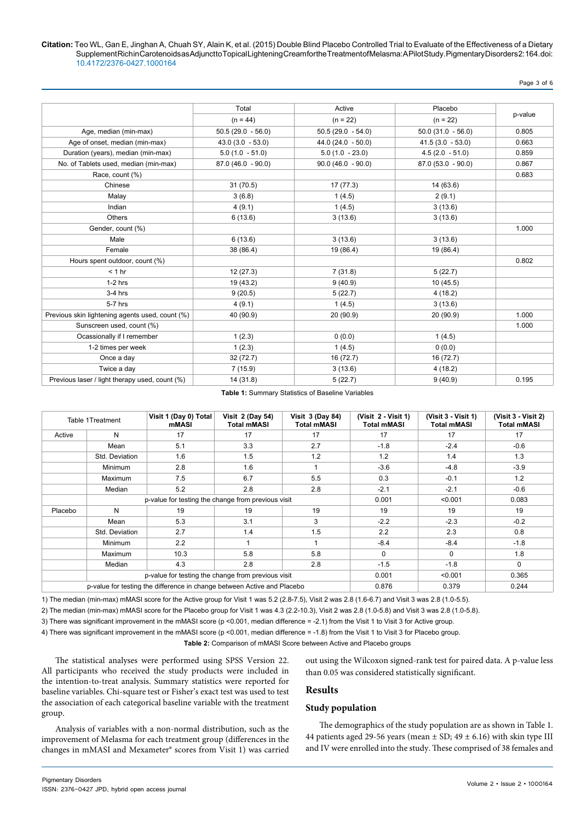Page 3 of 6

|                     |                     |                     | p-value |  |
|---------------------|---------------------|---------------------|---------|--|
| $(n = 44)$          | $(n = 22)$          | $(n = 22)$          |         |  |
| $50.5(29.0 - 56.0)$ | $50.5(29.0 - 54.0)$ | $50.0(31.0 - 56.0)$ | 0.805   |  |
| $43.0(3.0 - 53.0)$  | $44.0(24.0 - 50.0)$ | $41.5(3.0 - 53.0)$  | 0.663   |  |
| $5.0(1.0 - 51.0)$   | $5.0(1.0 - 23.0)$   | $4.5(2.0 - 51.0)$   | 0.859   |  |
| $87.0(46.0 - 90.0)$ | $90.0(46.0 - 90.0)$ | $87.0(53.0 - 90.0)$ | 0.867   |  |
|                     |                     |                     | 0.683   |  |
| 31(70.5)            | 17 (77.3)           | 14 (63.6)           |         |  |
| 3(6.8)              | 1(4.5)              | 2(9.1)              |         |  |
| 4(9.1)              | 1(4.5)              | 3(13.6)             |         |  |
| 6(13.6)             | 3(13.6)             | 3(13.6)             |         |  |
|                     |                     |                     | 1.000   |  |
| 6(13.6)             | 3(13.6)             | 3(13.6)             |         |  |
| 38 (86.4)           | 19 (86.4)           | 19 (86.4)           |         |  |
|                     |                     |                     | 0.802   |  |
| 12(27.3)            | 7(31.8)             | 5(22.7)             |         |  |
| 19 (43.2)           | 9(40.9)             | 10(45.5)            |         |  |
| 9(20.5)             | 5(22.7)             | 4(18.2)             |         |  |
| 4(9.1)              | 1(4.5)              | 3(13.6)             |         |  |
| 40 (90.9)           | 20 (90.9)           | 20(90.9)            | 1.000   |  |
|                     |                     |                     | 1.000   |  |
| 1(2.3)              | 0(0.0)              | 1(4.5)              |         |  |
| 1(2.3)              | 1(4.5)              | 0(0.0)              |         |  |
| 32 (72.7)           | 16 (72.7)           | 16 (72.7)           |         |  |
| 7(15.9)             | 3(13.6)             | 4(18.2)             |         |  |
| 14 (31.8)           | 5(22.7)             | 9(40.9)             | 0.195   |  |
|                     | Total               | Active              | Placebo |  |

**Table 1:** Summary Statistics of Baseline Variables

|                                                                         | Table 1Treatment                                   | Visit 1 (Day 0) Total<br>mMASI | <b>Visit 2 (Day 54)</b><br><b>Total mMASI</b> | <b>Visit 3 (Day 84)</b><br><b>Total mMASI</b> | (Visit 2 - Visit 1)<br><b>Total mMASI</b> | (Visit 3 - Visit 1)<br><b>Total mMASI</b> | (Visit 3 - Visit 2)<br><b>Total mMASI</b> |
|-------------------------------------------------------------------------|----------------------------------------------------|--------------------------------|-----------------------------------------------|-----------------------------------------------|-------------------------------------------|-------------------------------------------|-------------------------------------------|
| Active                                                                  | N                                                  | 17                             | 17                                            | 17                                            | 17                                        | 17                                        | 17                                        |
|                                                                         | Mean                                               | 5.1                            | 3.3                                           | 2.7                                           | $-1.8$                                    | $-2.4$                                    | $-0.6$                                    |
|                                                                         | Std. Deviation                                     | 1.6                            | 1.5                                           | 1.2                                           | 1.2                                       | 1.4                                       | 1.3                                       |
|                                                                         | <b>Minimum</b>                                     | 2.8                            | 1.6                                           |                                               | $-3.6$                                    | $-4.8$                                    | $-3.9$                                    |
|                                                                         | <b>Maximum</b>                                     | 7.5                            | 6.7                                           | 5.5                                           | 0.3                                       | $-0.1$                                    | 1.2                                       |
|                                                                         | Median                                             | 5.2                            | 2.8                                           | 2.8                                           | $-2.1$                                    | $-2.1$                                    | $-0.6$                                    |
|                                                                         | p-value for testing the change from previous visit |                                |                                               |                                               | 0.001                                     | < 0.001                                   | 0.083                                     |
| Placebo                                                                 | N                                                  | 19                             | 19                                            | 19                                            | 19                                        | 19                                        | 19                                        |
|                                                                         | Mean                                               | 5.3                            | 3.1                                           | 3                                             | $-2.2$                                    | $-2.3$                                    | $-0.2$                                    |
|                                                                         | Std. Deviation                                     | 2.7                            | 1.4                                           | 1.5                                           | 2.2                                       | 2.3                                       | 0.8                                       |
|                                                                         | Minimum                                            | 2.2                            | 1                                             | 1                                             | $-8.4$                                    | $-8.4$                                    | $-1.8$                                    |
|                                                                         | Maximum                                            | 10.3                           | 5.8                                           | 5.8                                           | $\mathbf{0}$                              | $\mathbf{0}$                              | 1.8                                       |
|                                                                         | Median                                             | 4.3                            | 2.8                                           | 2.8                                           | $-1.5$                                    | $-1.8$                                    | $\mathbf 0$                               |
|                                                                         | p-value for testing the change from previous visit |                                |                                               |                                               | 0.001                                     | < 0.001                                   | 0.365                                     |
| p-value for testing the difference in change between Active and Placebo |                                                    |                                |                                               |                                               | 0.876                                     | 0.379                                     | 0.244                                     |

1) The median (min-max) mMASI score for the Active group for Visit 1 was 5.2 (2.8-7.5), Visit 2 was 2.8 (1.6-6.7) and Visit 3 was 2.8 (1.0-5.5).

2) The median (min-max) mMASI score for the Placebo group for Visit 1 was 4.3 (2.2-10.3), Visit 2 was 2.8 (1.0-5.8) and Visit 3 was 2.8 (1.0-5.8).

3) There was significant improvement in the mMASI score (p <0.001, median difference = -2.1) from the Visit 1 to Visit 3 for Active group.

4) There was significant improvement in the mMASI score (p <0.001, median difference = -1.8) from the Visit 1 to Visit 3 for Placebo group.

**Table 2:** Comparison of mMASI Score between Active and Placebo groups

The statistical analyses were performed using SPSS Version 22. All participants who received the study products were included in the intention-to-treat analysis. Summary statistics were reported for baseline variables. Chi-square test or Fisher's exact test was used to test the association of each categorical baseline variable with the treatment group.

## **Results**

#### **Study population**

Analysis of variables with a non-normal distribution, such as the improvement of Melasma for each treatment group (differences in the changes in mMASI and Mexameter® scores from Visit 1) was carried

The demographics of the study population are as shown in Table 1. 44 patients aged 29-56 years (mean  $\pm$  SD; 49  $\pm$  6.16) with skin type III and IV were enrolled into the study. These comprised of 38 females and

out using the Wilcoxon signed-rank test for paired data. A p-value less

than 0.05 was considered statistically significant.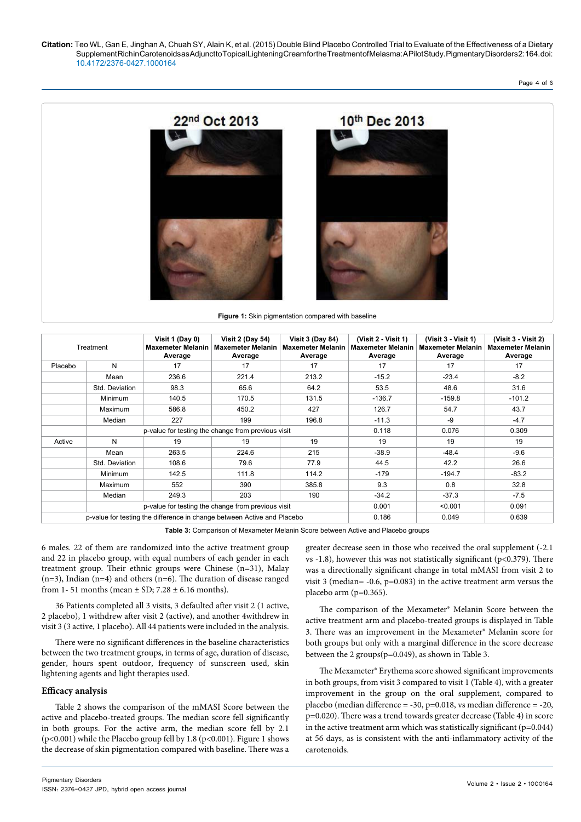Page 4 of 6



|                                                                         | Treatment                                          | Visit 1 (Day 0)<br><b>Maxemeter Melanin</b><br>Average | <b>Visit 2 (Day 54)</b><br><b>Maxemeter Melanin</b><br>Average | <b>Visit 3 (Day 84)</b><br><b>Maxemeter Melanin</b><br>Average | (Visit 2 - Visit 1)<br><b>Maxemeter Melanin</b><br>Average | (Visit 3 - Visit 1)<br><b>Maxemeter Melanin</b><br>Average | (Visit 3 - Visit 2)<br><b>Maxemeter Melanin</b><br>Average |
|-------------------------------------------------------------------------|----------------------------------------------------|--------------------------------------------------------|----------------------------------------------------------------|----------------------------------------------------------------|------------------------------------------------------------|------------------------------------------------------------|------------------------------------------------------------|
| Placebo                                                                 | N                                                  | 17                                                     | 17                                                             | 17                                                             | 17                                                         | 17                                                         | 17                                                         |
|                                                                         | Mean                                               | 236.6                                                  | 221.4                                                          | 213.2                                                          | $-15.2$                                                    | $-23.4$                                                    | $-8.2$                                                     |
|                                                                         | Std. Deviation                                     | 98.3                                                   | 65.6                                                           | 64.2                                                           | 53.5                                                       | 48.6                                                       | 31.6                                                       |
|                                                                         | Minimum                                            | 140.5                                                  | 170.5                                                          | 131.5                                                          | $-136.7$                                                   | $-159.8$                                                   | $-101.2$                                                   |
|                                                                         | Maximum                                            | 586.8                                                  | 450.2                                                          | 427                                                            | 126.7                                                      | 54.7                                                       | 43.7                                                       |
|                                                                         | Median                                             | 227                                                    | 199                                                            | 196.8                                                          | $-11.3$                                                    | -9                                                         | $-4.7$                                                     |
|                                                                         | p-value for testing the change from previous visit |                                                        |                                                                |                                                                | 0.118                                                      | 0.076                                                      | 0.309                                                      |
| Active                                                                  | N                                                  | 19                                                     | 19                                                             | 19                                                             | 19                                                         | 19                                                         | 19                                                         |
|                                                                         | Mean                                               | 263.5                                                  | 224.6                                                          | 215                                                            | $-38.9$                                                    | $-48.4$                                                    | $-9.6$                                                     |
|                                                                         | Std. Deviation                                     | 108.6                                                  | 79.6                                                           | 77.9                                                           | 44.5                                                       | 42.2                                                       | 26.6                                                       |
|                                                                         | Minimum                                            | 142.5                                                  | 111.8                                                          | 114.2                                                          | $-179$                                                     | $-194.7$                                                   | $-83.2$                                                    |
|                                                                         | Maximum                                            | 552                                                    | 390                                                            | 385.8                                                          | 9.3                                                        | 0.8                                                        | 32.8                                                       |
|                                                                         | Median                                             | 249.3                                                  | 203                                                            | 190                                                            | $-34.2$                                                    | $-37.3$                                                    | $-7.5$                                                     |
|                                                                         | p-value for testing the change from previous visit |                                                        |                                                                |                                                                | 0.001                                                      | < 0.001                                                    | 0.091                                                      |
| p-value for testing the difference in change between Active and Placebo |                                                    |                                                        |                                                                | 0.186                                                          | 0.049                                                      | 0.639                                                      |                                                            |

**Table 3:** Comparison of Mexameter Melanin Score between Active and Placebo groups

6 males. 22 of them are randomized into the active treatment group and 22 in placebo group, with equal numbers of each gender in each treatment group. Their ethnic groups were Chinese (n=31), Malay (n=3), Indian (n=4) and others (n=6). The duration of disease ranged from 1-51 months (mean  $\pm$  SD; 7.28  $\pm$  6.16 months).

36 Patients completed all 3 visits, 3 defaulted after visit 2 (1 active, 2 placebo), 1 withdrew after visit 2 (active), and another 4withdrew in visit 3 (3 active, 1 placebo). All 44 patients were included in the analysis.

There were no significant differences in the baseline characteristics between the two treatment groups, in terms of age, duration of disease, gender, hours spent outdoor, frequency of sunscreen used, skin lightening agents and light therapies used.

#### **Efficacy analysis**

Table 2 shows the comparison of the mMASI Score between the active and placebo-treated groups. The median score fell significantly in both groups. For the active arm, the median score fell by 2.1 (p<0.001) while the Placebo group fell by 1.8 (p<0.001). Figure 1 shows the decrease of skin pigmentation compared with baseline. There was a

greater decrease seen in those who received the oral supplement (-2.1 vs -1.8), however this was not statistically significant (p<0.379). There was a directionally significant change in total mMASI from visit 2 to visit 3 (median=  $-0.6$ , p= $0.083$ ) in the active treatment arm versus the placebo arm (p=0.365).

The comparison of the Mexameter® Melanin Score between the active treatment arm and placebo-treated groups is displayed in Table 3. There was an improvement in the Mexameter® Melanin score for both groups but only with a marginal difference in the score decrease between the 2 groups(p=0.049), as shown in Table 3.

The Mexameter® Erythema score showed significant improvements in both groups, from visit 3 compared to visit 1 (Table 4), with a greater improvement in the group on the oral supplement, compared to placebo (median difference =  $-30$ , p=0.018, vs median difference =  $-20$ , p=0.020). There was a trend towards greater decrease (Table 4) in score in the active treatment arm which was statistically significant  $(p=0.044)$ at 56 days, as is consistent with the anti-inflammatory activity of the carotenoids.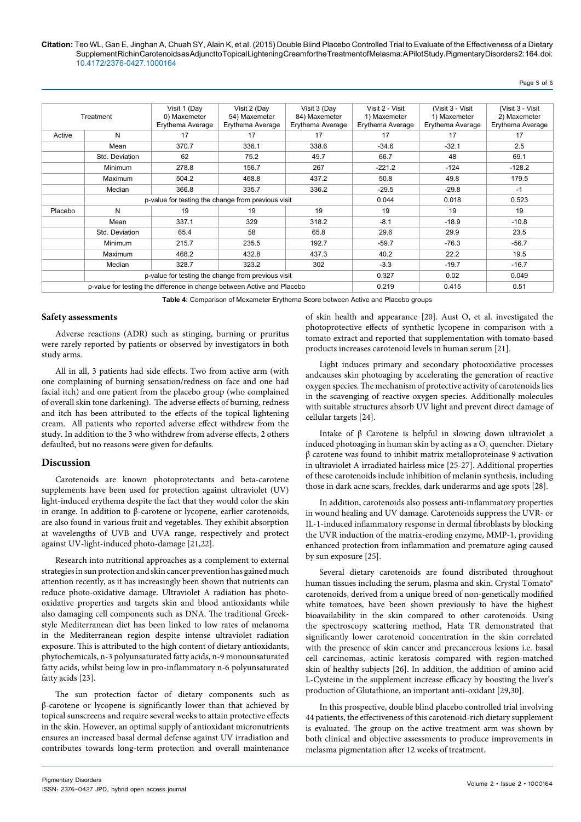Page 5 of 6

|         | Treatment                                                               | Visit 1 (Day<br>0) Maxemeter<br>Erythema Average | Visit 2 (Day<br>54) Maxemeter<br>Erythema Average | Visit 3 (Day<br>84) Maxemeter<br>Erythema Average | Visit 2 - Visit<br>1) Maxemeter<br>Erythema Average | (Visit 3 - Visit)<br>1) Maxemeter<br>Erythema Average | (Visit 3 - Visit)<br>2) Maxemeter<br>Erythema Average |
|---------|-------------------------------------------------------------------------|--------------------------------------------------|---------------------------------------------------|---------------------------------------------------|-----------------------------------------------------|-------------------------------------------------------|-------------------------------------------------------|
| Active  | N                                                                       | 17                                               | 17                                                | 17                                                | 17                                                  | 17                                                    | 17                                                    |
|         | Mean                                                                    | 370.7                                            | 336.1                                             | 338.6                                             | $-34.6$                                             | $-32.1$                                               | 2.5                                                   |
|         | Std. Deviation                                                          | 62                                               | 75.2                                              | 49.7                                              | 66.7                                                | 48                                                    | 69.1                                                  |
|         | Minimum                                                                 | 278.8                                            | 156.7                                             | 267                                               | $-221.2$                                            | $-124$                                                | $-128.2$                                              |
|         | <b>Maximum</b>                                                          | 504.2                                            | 468.8                                             | 437.2                                             | 50.8                                                | 49.8                                                  | 179.5                                                 |
|         | Median                                                                  | 366.8                                            | 335.7                                             | 336.2                                             | $-29.5$                                             | $-29.8$                                               | $-1$                                                  |
|         | p-value for testing the change from previous visit                      |                                                  |                                                   |                                                   | 0.044                                               | 0.018                                                 | 0.523                                                 |
| Placebo | N                                                                       | 19                                               | 19                                                | 19                                                | 19                                                  | 19                                                    | 19                                                    |
|         | Mean                                                                    | 337.1                                            | 329                                               | 318.2                                             | $-8.1$                                              | $-18.9$                                               | $-10.8$                                               |
|         | Std. Deviation                                                          | 65.4                                             | 58                                                | 65.8                                              | 29.6                                                | 29.9                                                  | 23.5                                                  |
|         | Minimum                                                                 | 215.7                                            | 235.5                                             | 192.7                                             | $-59.7$                                             | $-76.3$                                               | $-56.7$                                               |
|         | Maximum                                                                 | 468.2                                            | 432.8                                             | 437.3                                             | 40.2                                                | 22.2                                                  | 19.5                                                  |
|         | Median                                                                  | 328.7                                            | 323.2                                             | 302                                               | $-3.3$                                              | $-19.7$                                               | $-16.7$                                               |
|         | p-value for testing the change from previous visit                      |                                                  |                                                   |                                                   | 0.327                                               | 0.02                                                  | 0.049                                                 |
|         | p-value for testing the difference in change between Active and Placebo |                                                  |                                                   |                                                   | 0.219                                               | 0.415                                                 | 0.51                                                  |

**Table 4:** Comparison of Mexameter Erythema Score between Active and Placebo groups

#### **Safety assessments**

Adverse reactions (ADR) such as stinging, burning or pruritus were rarely reported by patients or observed by investigators in both study arms.

All in all, 3 patients had side effects. Two from active arm (with one complaining of burning sensation/redness on face and one had facial itch) and one patient from the placebo group (who complained of overall skin tone darkening). The adverse effects of burning, redness and itch has been attributed to the effects of the topical lightening cream. All patients who reported adverse effect withdrew from the study. In addition to the 3 who withdrew from adverse effects, 2 others defaulted, but no reasons were given for defaults.

#### **Discussion**

Carotenoids are known photoprotectants and beta-carotene supplements have been used for protection against ultraviolet (UV) light-induced erythema despite the fact that they would color the skin in orange. In addition to β-carotene or lycopene, earlier carotenoids, are also found in various fruit and vegetables. They exhibit absorption at wavelengths of UVB and UVA range, respectively and protect against UV-light-induced photo-damage [21,22].

Research into nutritional approaches as a complement to external strategies in sun protection and skin cancer prevention has gained much attention recently, as it has increasingly been shown that nutrients can reduce photo-oxidative damage. Ultraviolet A radiation has photooxidative properties and targets skin and blood antioxidants while also damaging cell components such as DNA. The traditional Greekstyle Mediterranean diet has been linked to low rates of melanoma in the Mediterranean region despite intense ultraviolet radiation exposure. This is attributed to the high content of dietary antioxidants, phytochemicals, n-3 polyunsaturated fatty acids, n-9 monounsaturated fatty acids, whilst being low in pro-inflammatory n-6 polyunsaturated fatty acids [23].

The sun protection factor of dietary components such as β-carotene or lycopene is significantly lower than that achieved by topical sunscreens and require several weeks to attain protective effects in the skin. However, an optimal supply of antioxidant micronutrients ensures an increased basal dermal defense against UV irradiation and contributes towards long-term protection and overall maintenance

of skin health and appearance [20]. Aust O, et al. investigated the photoprotective effects of synthetic lycopene in comparison with a tomato extract and reported that supplementation with tomato-based products increases carotenoid levels in human serum [21].

Light induces primary and secondary photooxidative processes andcauses skin photoaging by accelerating the generation of reactive oxygen species. The mechanism of protective activity of carotenoids lies in the scavenging of reactive oxygen species. Additionally molecules with suitable structures absorb UV light and prevent direct damage of cellular targets [24].

Intake of β Carotene is helpful in slowing down ultraviolet a induced photoaging in human skin by acting as a  $\mathrm{O}_2$  quencher. Dietary β carotene was found to inhibit matrix metalloproteinase 9 activation in ultraviolet A irradiated hairless mice [25-27]. Additional properties of these carotenoids include inhibition of melanin synthesis, including those in dark acne scars, freckles, dark underarms and age spots [28].

In addition, carotenoids also possess anti-inflammatory properties in wound healing and UV damage. Carotenoids suppress the UVR- or IL-1-induced inflammatory response in dermal fibroblasts by blocking the UVR induction of the matrix-eroding enzyme, MMP-1, providing enhanced protection from inflammation and premature aging caused by sun exposure [25].

Several dietary carotenoids are found distributed throughout human tissues including the serum, plasma and skin. Crystal Tomato® carotenoids, derived from a unique breed of non-genetically modified white tomatoes, have been shown previously to have the highest bioavailability in the skin compared to other carotenoids. Using the spectroscopy scattering method, Hata TR demonstrated that significantly lower carotenoid concentration in the skin correlated with the presence of skin cancer and precancerous lesions i.e. basal cell carcinomas, actinic keratosis compared with region-matched skin of healthy subjects [26]. In addition, the addition of amino acid L-Cysteine in the supplement increase efficacy by boosting the liver's production of Glutathione, an important anti-oxidant [29,30].

In this prospective, double blind placebo controlled trial involving 44 patients, the effectiveness of this carotenoid-rich dietary supplement is evaluated. The group on the active treatment arm was shown by both clinical and objective assessments to produce improvements in melasma pigmentation after 12 weeks of treatment.